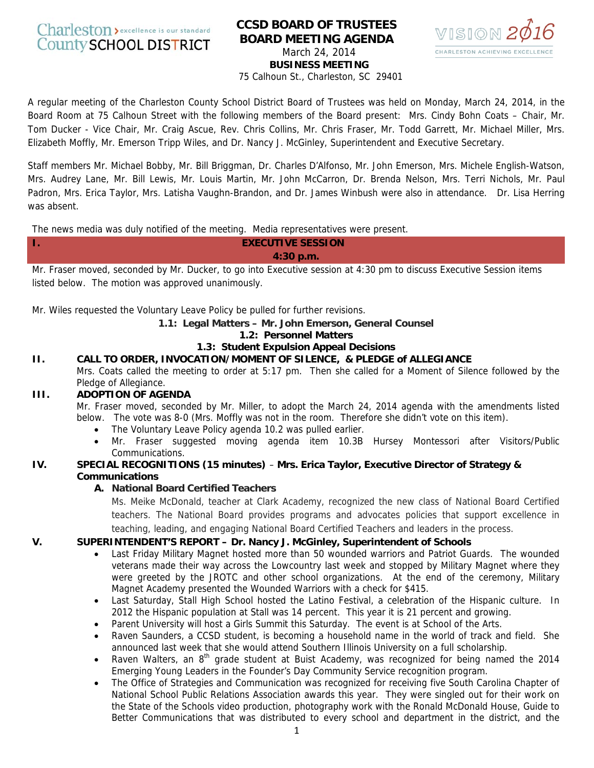Charleston > excellence is our standard **County SCHOOL DISTRICT** 

# **CCSD BOARD OF TRUSTEES BOARD MEETING AGENDA**  March 24, 2014 **BUSINESS MEETING**



75 Calhoun St., Charleston, SC 29401

A regular meeting of the Charleston County School District Board of Trustees was held on Monday, March 24, 2014, in the Board Room at 75 Calhoun Street with the following members of the Board present: Mrs. Cindy Bohn Coats – Chair, Mr. Tom Ducker - Vice Chair, Mr. Craig Ascue, Rev. Chris Collins, Mr. Chris Fraser, Mr. Todd Garrett, Mr. Michael Miller, Mrs. Elizabeth Moffly, Mr. Emerson Tripp Wiles, and Dr. Nancy J. McGinley, Superintendent and Executive Secretary.

Staff members Mr. Michael Bobby, Mr. Bill Briggman, Dr. Charles D'Alfonso, Mr. John Emerson, Mrs. Michele English-Watson, Mrs. Audrey Lane, Mr. Bill Lewis, Mr. Louis Martin, Mr. John McCarron, Dr. Brenda Nelson, Mrs. Terri Nichols, Mr. Paul Padron, Mrs. Erica Taylor, Mrs. Latisha Vaughn-Brandon, and Dr. James Winbush were also in attendance. Dr. Lisa Herring was absent.

The news media was duly notified of the meeting. Media representatives were present.

#### **I. EXECUTIVE SESSION 4:30 p.m.**

Mr. Fraser moved, seconded by Mr. Ducker, to go into Executive session at 4:30 pm to discuss Executive Session items listed below. The motion was approved unanimously.

Mr. Wiles requested the Voluntary Leave Policy be pulled for further revisions.

## **1.1: Legal Matters – Mr. John Emerson, General Counsel**

#### **1.2: Personnel Matters**

#### **1.3: Student Expulsion Appeal Decisions**

**II. CALL TO ORDER, INVOCATION/MOMENT OF SILENCE, & PLEDGE of ALLEGIANCE**  Mrs. Coats called the meeting to order at 5:17 pm. Then she called for a Moment of Silence followed by the Pledge of Allegiance.

## **III. ADOPTION OF AGENDA**

Mr. Fraser moved, seconded by Mr. Miller, to adopt the March 24, 2014 agenda with the amendments listed below. The vote was 8-0 (Mrs. Moffly was not in the room. Therefore she didn't vote on this item).

- The Voluntary Leave Policy agenda 10.2 was pulled earlier.
- Mr. Fraser suggested moving agenda item 10.3B Hursey Montessori after Visitors/Public Communications.

### **IV. SPECIAL RECOGNITIONS (15 minutes)** – **Mrs. Erica Taylor, Executive Director of Strategy & Communications**

## **A. National Board Certified Teachers**

Ms. Meike McDonald, teacher at Clark Academy, recognized the new class of National Board Certified teachers. The National Board provides programs and advocates policies that support excellence in teaching, leading, and engaging National Board Certified Teachers and leaders in the process.

## **V. SUPERINTENDENT'S REPORT – Dr. Nancy J. McGinley, Superintendent of Schools**

- Last Friday Military Magnet hosted more than 50 wounded warriors and Patriot Guards. The wounded veterans made their way across the Lowcountry last week and stopped by Military Magnet where they were greeted by the JROTC and other school organizations. At the end of the ceremony, Military Magnet Academy presented the Wounded Warriors with a check for \$415.
- Last Saturday, Stall High School hosted the Latino Festival, a celebration of the Hispanic culture. In 2012 the Hispanic population at Stall was 14 percent. This year it is 21 percent and growing.
- Parent University will host a Girls Summit this Saturday. The event is at School of the Arts.
- Raven Saunders, a CCSD student, is becoming a household name in the world of track and field. She announced last week that she would attend Southern Illinois University on a full scholarship.
- Raven Walters, an  $8<sup>th</sup>$  grade student at Buist Academy, was recognized for being named the 2014 Emerging Young Leaders in the Founder's Day Community Service recognition program.
- The Office of Strategies and Communication was recognized for receiving five South Carolina Chapter of National School Public Relations Association awards this year. They were singled out for their work on the State of the Schools video production, photography work with the Ronald McDonald House, Guide to Better Communications that was distributed to every school and department in the district, and the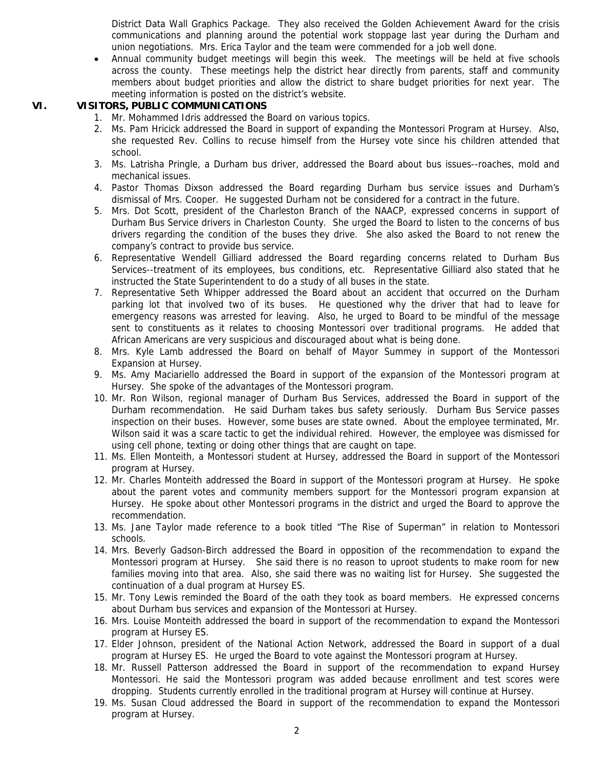District Data Wall Graphics Package. They also received the Golden Achievement Award for the crisis communications and planning around the potential work stoppage last year during the Durham and union negotiations. Mrs. Erica Taylor and the team were commended for a job well done.

• Annual community budget meetings will begin this week. The meetings will be held at five schools across the county. These meetings help the district hear directly from parents, staff and community members about budget priorities and allow the district to share budget priorities for next year. The meeting information is posted on the district's website.

### **VI. VISITORS, PUBLIC COMMUNICATIONS**

- 1. Mr. Mohammed Idris addressed the Board on various topics.
- 2. Ms. Pam Hricick addressed the Board in support of expanding the Montessori Program at Hursey. Also, she requested Rev. Collins to recuse himself from the Hursey vote since his children attended that school.
- 3. Ms. Latrisha Pringle, a Durham bus driver, addressed the Board about bus issues--roaches, mold and mechanical issues.
- 4. Pastor Thomas Dixson addressed the Board regarding Durham bus service issues and Durham's dismissal of Mrs. Cooper. He suggested Durham not be considered for a contract in the future.
- 5. Mrs. Dot Scott, president of the Charleston Branch of the NAACP, expressed concerns in support of Durham Bus Service drivers in Charleston County. She urged the Board to listen to the concerns of bus drivers regarding the condition of the buses they drive. She also asked the Board to not renew the company's contract to provide bus service.
- 6. Representative Wendell Gilliard addressed the Board regarding concerns related to Durham Bus Services--treatment of its employees, bus conditions, etc. Representative Gilliard also stated that he instructed the State Superintendent to do a study of all buses in the state.
- 7. Representative Seth Whipper addressed the Board about an accident that occurred on the Durham parking lot that involved two of its buses. He questioned why the driver that had to leave for emergency reasons was arrested for leaving. Also, he urged to Board to be mindful of the message sent to constituents as it relates to choosing Montessori over traditional programs. He added that African Americans are very suspicious and discouraged about what is being done.
- 8. Mrs. Kyle Lamb addressed the Board on behalf of Mayor Summey in support of the Montessori Expansion at Hursey.
- 9. Ms. Amy Maciariello addressed the Board in support of the expansion of the Montessori program at Hursey. She spoke of the advantages of the Montessori program.
- 10. Mr. Ron Wilson, regional manager of Durham Bus Services, addressed the Board in support of the Durham recommendation. He said Durham takes bus safety seriously. Durham Bus Service passes inspection on their buses. However, some buses are state owned. About the employee terminated, Mr. Wilson said it was a scare tactic to get the individual rehired. However, the employee was dismissed for using cell phone, texting or doing other things that are caught on tape.
- 11. Ms. Ellen Monteith, a Montessori student at Hursey, addressed the Board in support of the Montessori program at Hursey.
- 12. Mr. Charles Monteith addressed the Board in support of the Montessori program at Hursey. He spoke about the parent votes and community members support for the Montessori program expansion at Hursey. He spoke about other Montessori programs in the district and urged the Board to approve the recommendation.
- 13. Ms. Jane Taylor made reference to a book titled "The Rise of Superman" in relation to Montessori schools.
- 14. Mrs. Beverly Gadson-Birch addressed the Board in opposition of the recommendation to expand the Montessori program at Hursey. She said there is no reason to uproot students to make room for new families moving into that area. Also, she said there was no waiting list for Hursey. She suggested the continuation of a dual program at Hursey ES.
- 15. Mr. Tony Lewis reminded the Board of the oath they took as board members. He expressed concerns about Durham bus services and expansion of the Montessori at Hursey.
- 16. Mrs. Louise Monteith addressed the board in support of the recommendation to expand the Montessori program at Hursey ES.
- 17. Elder Johnson, president of the National Action Network, addressed the Board in support of a dual program at Hursey ES. He urged the Board to vote against the Montessori program at Hursey.
- 18. Mr. Russell Patterson addressed the Board in support of the recommendation to expand Hursey Montessori. He said the Montessori program was added because enrollment and test scores were dropping. Students currently enrolled in the traditional program at Hursey will continue at Hursey.
- 19. Ms. Susan Cloud addressed the Board in support of the recommendation to expand the Montessori program at Hursey.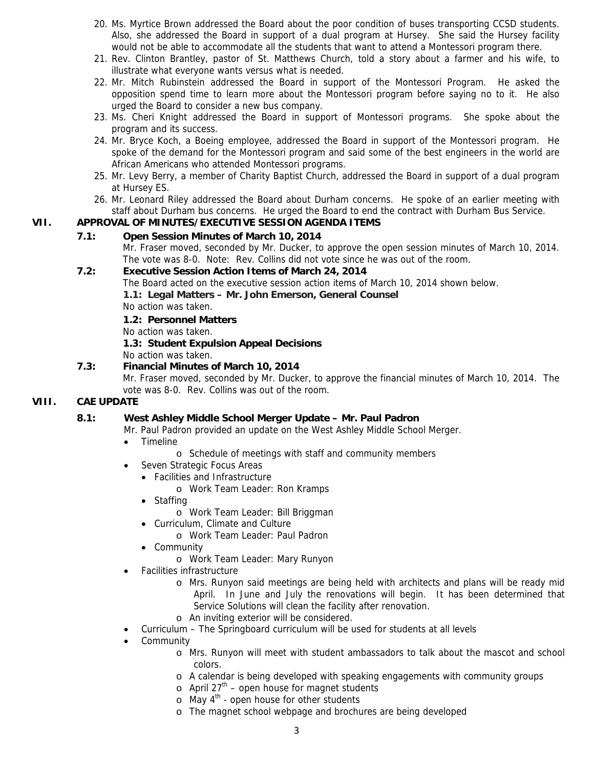- 20. Ms. Myrtice Brown addressed the Board about the poor condition of buses transporting CCSD students. Also, she addressed the Board in support of a dual program at Hursey. She said the Hursey facility would not be able to accommodate all the students that want to attend a Montessori program there.
- 21. Rev. Clinton Brantley, pastor of St. Matthews Church, told a story about a farmer and his wife, to illustrate what everyone wants versus what is needed.
- 22. Mr. Mitch Rubinstein addressed the Board in support of the Montessori Program. He asked the opposition spend time to learn more about the Montessori program before saying no to it. He also urged the Board to consider a new bus company.
- 23. Ms. Cheri Knight addressed the Board in support of Montessori programs. She spoke about the program and its success.
- 24. Mr. Bryce Koch, a Boeing employee, addressed the Board in support of the Montessori program. He spoke of the demand for the Montessori program and said some of the best engineers in the world are African Americans who attended Montessori programs.
- 25. Mr. Levy Berry, a member of Charity Baptist Church, addressed the Board in support of a dual program at Hursey ES.
- 26. Mr. Leonard Riley addressed the Board about Durham concerns. He spoke of an earlier meeting with staff about Durham bus concerns. He urged the Board to end the contract with Durham Bus Service.

## **VII. APPROVAL OF MINUTES/EXECUTIVE SESSION AGENDA ITEMS**

## **7.1: Open Session Minutes of March 10, 2014**

Mr. Fraser moved, seconded by Mr. Ducker, to approve the open session minutes of March 10, 2014. The vote was 8-0. Note: Rev. Collins did not vote since he was out of the room.

## **7.2: Executive Session Action Items of March 24, 2014**

The Board acted on the executive session action items of March 10, 2014 shown below.

**1.1: Legal Matters – Mr. John Emerson, General Counsel** 

No action was taken.

 **1.2: Personnel Matters** 

No action was taken.

## **1.3: Student Expulsion Appeal Decisions**

No action was taken.

## **7.3: Financial Minutes of March 10, 2014**

Mr. Fraser moved, seconded by Mr. Ducker, to approve the financial minutes of March 10, 2014. The vote was 8-0. Rev. Collins was out of the room.

## **VIII. CAE UPDATE**

## **8.1: West Ashley Middle School Merger Update – Mr. Paul Padron**

Mr. Paul Padron provided an update on the West Ashley Middle School Merger.

- Timeline
	- o Schedule of meetings with staff and community members
- Seven Strategic Focus Areas
	- Facilities and Infrastructure
		- o Work Team Leader: Ron Kramps
	- Staffing
		- o Work Team Leader: Bill Briggman
	- Curriculum, Climate and Culture
		- o Work Team Leader: Paul Padron
	- Community
		- o Work Team Leader: Mary Runyon
- Facilities infrastructure
	- o Mrs. Runyon said meetings are being held with architects and plans will be ready mid April. In June and July the renovations will begin. It has been determined that Service Solutions will clean the facility after renovation.
	- o An inviting exterior will be considered.
- Curriculum The Springboard curriculum will be used for students at all levels
- **Community** 
	- o Mrs. Runyon will meet with student ambassadors to talk about the mascot and school colors.
	- o A calendar is being developed with speaking engagements with community groups
	- $\circ$  April 27<sup>th</sup> open house for magnet students
	- $\circ$  May 4<sup>th</sup> open house for other students
	- o The magnet school webpage and brochures are being developed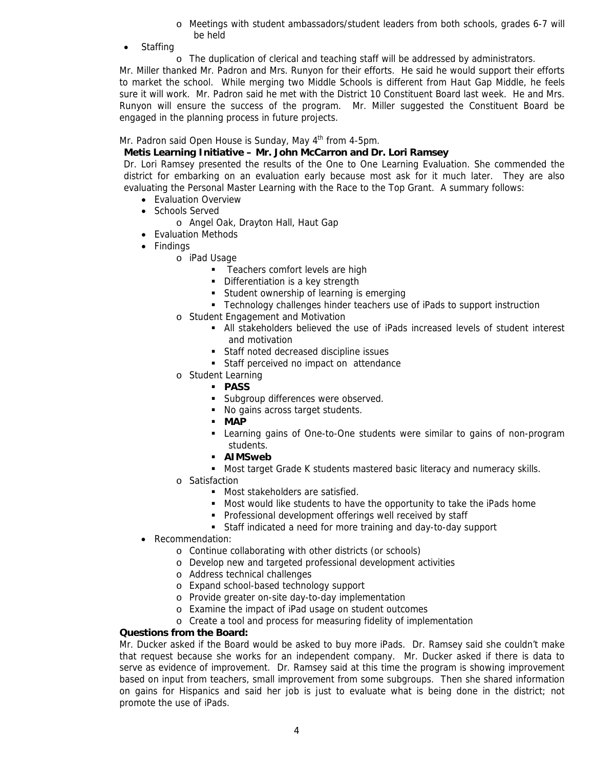- o Meetings with student ambassadors/student leaders from both schools, grades 6-7 will be held
- **Staffing** 
	- o The duplication of clerical and teaching staff will be addressed by administrators.

Mr. Miller thanked Mr. Padron and Mrs. Runyon for their efforts. He said he would support their efforts to market the school. While merging two Middle Schools is different from Haut Gap Middle, he feels sure it will work. Mr. Padron said he met with the District 10 Constituent Board last week. He and Mrs. Runyon will ensure the success of the program. Mr. Miller suggested the Constituent Board be engaged in the planning process in future projects.

Mr. Padron said Open House is Sunday, May 4<sup>th</sup> from 4-5pm.

### **Metis Learning Initiative – Mr. John McCarron and Dr. Lori Ramsey**

Dr. Lori Ramsey presented the results of the One to One Learning Evaluation. She commended the district for embarking on an evaluation early because most ask for it much later. They are also evaluating the Personal Master Learning with the Race to the Top Grant. A summary follows:

- Evaluation Overview
- Schools Served
	- o Angel Oak, Drayton Hall, Haut Gap
- Evaluation Methods
- Findings
	- o iPad Usage
		- **Teachers comfort levels are high**
		- **Differentiation is a key strength**
		- **Student ownership of learning is emerging**
		- Technology challenges hinder teachers use of iPads to support instruction
	- o Student Engagement and Motivation
		- All stakeholders believed the use of iPads increased levels of student interest and motivation
		- Staff noted decreased discipline issues
		- **Staff perceived no impact on attendance**
	- o Student Learning
		- **PASS**
		- **Subgroup differences were observed.**
		- No gains across target students.
		- **MAP**
		- Learning gains of One-to-One students were similar to gains of non-program students.
		- **AIMSweb**
		- **Most target Grade K students mastered basic literacy and numeracy skills.**
	- o Satisfaction
		- **Most stakeholders are satisfied.**
		- Most would like students to have the opportunity to take the iPads home
		- **Professional development offerings well received by staff**
		- Staff indicated a need for more training and day-to-day support
- Recommendation:
	- o Continue collaborating with other districts (or schools)
	- o Develop new and targeted professional development activities
	- o Address technical challenges
	- o Expand school-based technology support
	- o Provide greater on-site day-to-day implementation
	- o Examine the impact of iPad usage on student outcomes
	- o Create a tool and process for measuring fidelity of implementation

#### **Questions from the Board:**

Mr. Ducker asked if the Board would be asked to buy more iPads. Dr. Ramsey said she couldn't make that request because she works for an independent company. Mr. Ducker asked if there is data to serve as evidence of improvement. Dr. Ramsey said at this time the program is showing improvement based on input from teachers, small improvement from some subgroups. Then she shared information on gains for Hispanics and said her job is just to evaluate what is being done in the district; not promote the use of iPads.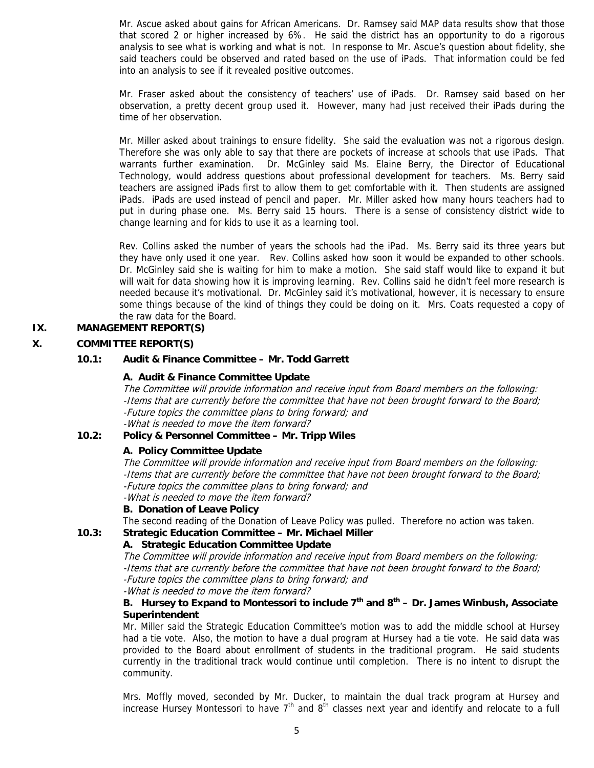Mr. Ascue asked about gains for African Americans. Dr. Ramsey said MAP data results show that those that scored 2 or higher increased by 6%. He said the district has an opportunity to do a rigorous analysis to see what is working and what is not. In response to Mr. Ascue's question about fidelity, she said teachers could be observed and rated based on the use of iPads. That information could be fed into an analysis to see if it revealed positive outcomes.

Mr. Fraser asked about the consistency of teachers' use of iPads. Dr. Ramsey said based on her observation, a pretty decent group used it. However, many had just received their iPads during the time of her observation.

Mr. Miller asked about trainings to ensure fidelity. She said the evaluation was not a rigorous design. Therefore she was only able to say that there are pockets of increase at schools that use iPads. That warrants further examination. Dr. McGinley said Ms. Elaine Berry, the Director of Educational Technology, would address questions about professional development for teachers. Ms. Berry said teachers are assigned iPads first to allow them to get comfortable with it. Then students are assigned iPads. iPads are used instead of pencil and paper. Mr. Miller asked how many hours teachers had to put in during phase one. Ms. Berry said 15 hours. There is a sense of consistency district wide to change learning and for kids to use it as a learning tool.

Rev. Collins asked the number of years the schools had the iPad. Ms. Berry said its three years but they have only used it one year. Rev. Collins asked how soon it would be expanded to other schools. Dr. McGinley said she is waiting for him to make a motion. She said staff would like to expand it but will wait for data showing how it is improving learning. Rev. Collins said he didn't feel more research is needed because it's motivational. Dr. McGinley said it's motivational, however, it is necessary to ensure some things because of the kind of things they could be doing on it. Mrs. Coats requested a copy of the raw data for the Board.

## **IX. MANAGEMENT REPORT(S)**

## **X. COMMITTEE REPORT(S)**

## **10.1: Audit & Finance Committee – Mr. Todd Garrett**

#### **A. Audit & Finance Committee Update**

The Committee will provide information and receive input from Board members on the following: -Items that are currently before the committee that have not been brought forward to the Board; -Future topics the committee plans to bring forward; and -What is needed to move the item forward?

#### **10.2: Policy & Personnel Committee – Mr. Tripp Wiles**

## **A. Policy Committee Update**

The Committee will provide information and receive input from Board members on the following: -Items that are currently before the committee that have not been brought forward to the Board; -Future topics the committee plans to bring forward; and -What is needed to move the item forward?

# **B. Donation of Leave Policy**

The second reading of the Donation of Leave Policy was pulled. Therefore no action was taken.

#### **10.3: Strategic Education Committee – Mr. Michael Miller**

## **A. Strategic Education Committee Update**

The Committee will provide information and receive input from Board members on the following: -Items that are currently before the committee that have not been brought forward to the Board; -Future topics the committee plans to bring forward; and -What is needed to move the item forward?

## **B. Hursey to Expand to Montessori to include 7th and 8th – Dr. James Winbush, Associate Superintendent**

Mr. Miller said the Strategic Education Committee's motion was to add the middle school at Hursey had a tie vote. Also, the motion to have a dual program at Hursey had a tie vote. He said data was provided to the Board about enrollment of students in the traditional program. He said students currently in the traditional track would continue until completion. There is no intent to disrupt the community.

Mrs. Moffly moved, seconded by Mr. Ducker, to maintain the dual track program at Hursey and increase Hursey Montessori to have  $7<sup>th</sup>$  and  $8<sup>th</sup>$  classes next year and identify and relocate to a full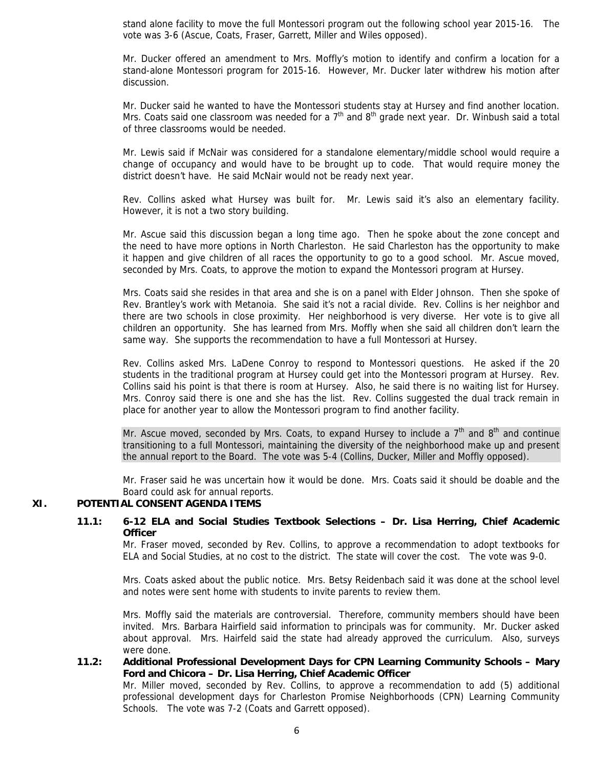stand alone facility to move the full Montessori program out the following school year 2015-16. The vote was 3-6 (Ascue, Coats, Fraser, Garrett, Miller and Wiles opposed).

Mr. Ducker offered an amendment to Mrs. Moffly's motion to identify and confirm a location for a stand-alone Montessori program for 2015-16. However, Mr. Ducker later withdrew his motion after discussion.

Mr. Ducker said he wanted to have the Montessori students stay at Hursey and find another location. Mrs. Coats said one classroom was needed for a  $7<sup>th</sup>$  and  $8<sup>th</sup>$  grade next year. Dr. Winbush said a total of three classrooms would be needed.

Mr. Lewis said if McNair was considered for a standalone elementary/middle school would require a change of occupancy and would have to be brought up to code. That would require money the district doesn't have. He said McNair would not be ready next year.

Rev. Collins asked what Hursey was built for. Mr. Lewis said it's also an elementary facility. However, it is not a two story building.

Mr. Ascue said this discussion began a long time ago. Then he spoke about the zone concept and the need to have more options in North Charleston. He said Charleston has the opportunity to make it happen and give children of all races the opportunity to go to a good school. Mr. Ascue moved, seconded by Mrs. Coats, to approve the motion to expand the Montessori program at Hursey.

Mrs. Coats said she resides in that area and she is on a panel with Elder Johnson. Then she spoke of Rev. Brantley's work with Metanoia. She said it's not a racial divide. Rev. Collins is her neighbor and there are two schools in close proximity. Her neighborhood is very diverse. Her vote is to give all children an opportunity. She has learned from Mrs. Moffly when she said all children don't learn the same way. She supports the recommendation to have a full Montessori at Hursey.

Rev. Collins asked Mrs. LaDene Conroy to respond to Montessori questions. He asked if the 20 students in the traditional program at Hursey could get into the Montessori program at Hursey. Rev. Collins said his point is that there is room at Hursey. Also, he said there is no waiting list for Hursey. Mrs. Conroy said there is one and she has the list. Rev. Collins suggested the dual track remain in place for another year to allow the Montessori program to find another facility.

Mr. Ascue moved, seconded by Mrs. Coats, to expand Hursey to include a  $7<sup>th</sup>$  and  $8<sup>th</sup>$  and continue transitioning to a full Montessori, maintaining the diversity of the neighborhood make up and present the annual report to the Board. The vote was 5-4 (Collins, Ducker, Miller and Moffly opposed).

Mr. Fraser said he was uncertain how it would be done. Mrs. Coats said it should be doable and the Board could ask for annual reports.

## **XI. POTENTIAL CONSENT AGENDA ITEMS**

#### **11.1: 6-12 ELA and Social Studies Textbook Selections – Dr. Lisa Herring, Chief Academic Officer**

Mr. Fraser moved, seconded by Rev. Collins, to approve a recommendation to adopt textbooks for ELA and Social Studies, at no cost to the district. The state will cover the cost. The vote was 9-0.

Mrs. Coats asked about the public notice. Mrs. Betsy Reidenbach said it was done at the school level and notes were sent home with students to invite parents to review them.

Mrs. Moffly said the materials are controversial. Therefore, community members should have been invited. Mrs. Barbara Hairfield said information to principals was for community. Mr. Ducker asked about approval. Mrs. Hairfeld said the state had already approved the curriculum. Also, surveys were done.

#### **11.2: Additional Professional Development Days for CPN Learning Community Schools – Mary Ford and Chicora – Dr. Lisa Herring, Chief Academic Officer**

Mr. Miller moved, seconded by Rev. Collins, to approve a recommendation to add (5) additional professional development days for Charleston Promise Neighborhoods (CPN) Learning Community Schools. The vote was 7-2 (Coats and Garrett opposed).